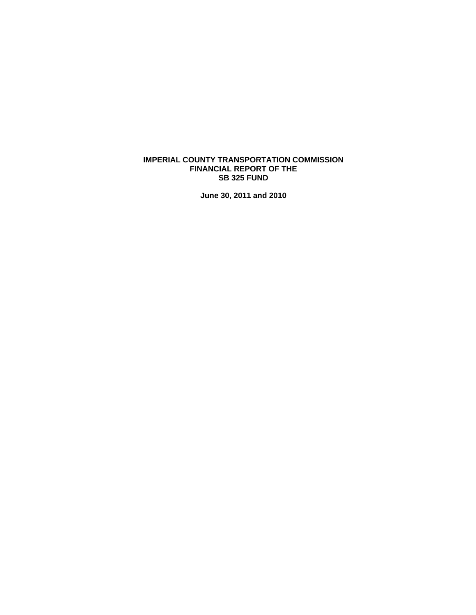# **IMPERIAL COUNTY TRANSPORTATION COMMISSION FINANCIAL REPORT OF THE SB 325 FUND**

**June 30, 2011 and 2010**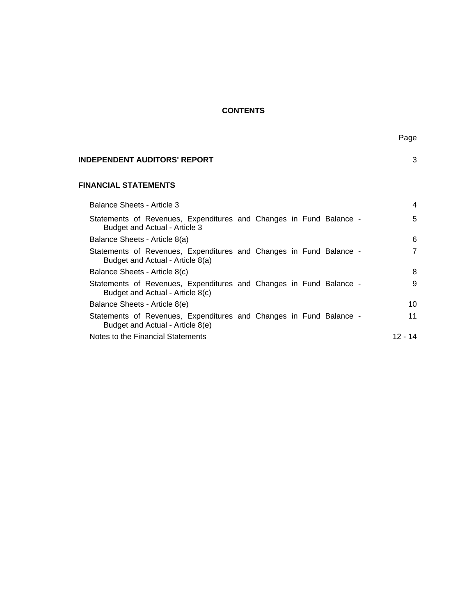# **CONTENTS**

| INDEPENDENT AUDITORS' REPORT | 3 |
|------------------------------|---|
| <b>FINANCIAL STATEMENTS</b>  |   |

| Balance Sheets - Article 3                                                                             | 4       |
|--------------------------------------------------------------------------------------------------------|---------|
| Statements of Revenues, Expenditures and Changes in Fund Balance -<br>Budget and Actual - Article 3    | 5       |
| Balance Sheets - Article 8(a)                                                                          | 6       |
| Statements of Revenues, Expenditures and Changes in Fund Balance -<br>Budget and Actual - Article 8(a) | 7       |
| Balance Sheets - Article 8(c)                                                                          | 8       |
| Statements of Revenues, Expenditures and Changes in Fund Balance -<br>Budget and Actual - Article 8(c) | 9       |
| Balance Sheets - Article 8(e)                                                                          | 10      |
| Statements of Revenues, Expenditures and Changes in Fund Balance -<br>Budget and Actual - Article 8(e) | 11      |
| Notes to the Financial Statements                                                                      | 12 - 14 |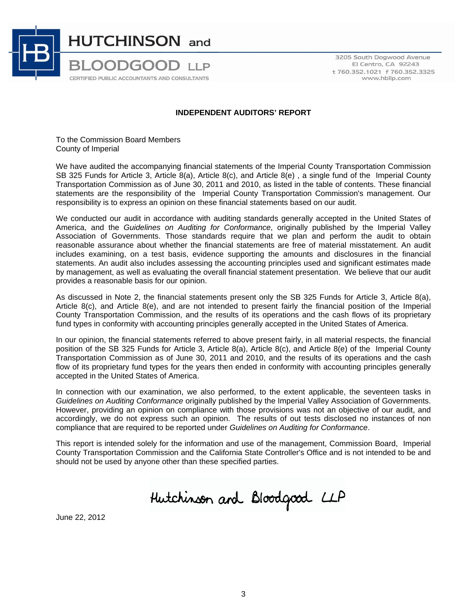

3205 South Dogwood Avenue El Centro, CA 92243 t 760.352.1021 f 760.352.3325 www.hbllp.com

# **INDEPENDENT AUDITORS' REPORT**

To the Commission Board Members County of Imperial

We have audited the accompanying financial statements of the Imperial County Transportation Commission SB 325 Funds for Article 3, Article 8(a), Article 8(c), and Article 8(e), a single fund of the Imperial County Transportation Commission as of June 30, 2011 and 2010, as listed in the table of contents. These financial statements are the responsibility of the Imperial County Transportation Commission's management. Our responsibility is to express an opinion on these financial statements based on our audit.

We conducted our audit in accordance with auditing standards generally accepted in the United States of America, and the *Guidelines on Auditing for Conformance*, originally published by the Imperial Valley Association of Governments. Those standards require that we plan and perform the audit to obtain reasonable assurance about whether the financial statements are free of material misstatement. An audit includes examining, on a test basis, evidence supporting the amounts and disclosures in the financial statements. An audit also includes assessing the accounting principles used and significant estimates made by management, as well as evaluating the overall financial statement presentation. We believe that our audit provides a reasonable basis for our opinion.

As discussed in Note 2, the financial statements present only the SB 325 Funds for Article 3, Article 8(a), Article 8(c), and Article 8(e), and are not intended to present fairly the financial position of the Imperial County Transportation Commission, and the results of its operations and the cash flows of its proprietary fund types in conformity with accounting principles generally accepted in the United States of America.

In our opinion, the financial statements referred to above present fairly, in all material respects, the financial position of the SB 325 Funds for Article 3, Article 8(a), Article 8(c), and Article 8(e) of the Imperial County Transportation Commission as of June 30, 2011 and 2010, and the results of its operations and the cash flow of its proprietary fund types for the years then ended in conformity with accounting principles generally accepted in the United States of America.

In connection with our examination, we also performed, to the extent applicable, the seventeen tasks in *Guidelines on Auditing Conformance* originally published by the Imperial Valley Association of Governments. However, providing an opinion on compliance with those provisions was not an objective of our audit, and accordingly, we do not express such an opinion. The results of out tests disclosed no instances of non compliance that are required to be reported under *Guidelines on Auditing for Conformance*.

This report is intended solely for the information and use of the management, Commission Board, Imperial County Transportation Commission and the California State Controller's Office and is not intended to be and should not be used by anyone other than these specified parties.

Hutchinson and Bloodgood LLP

June 22, 2012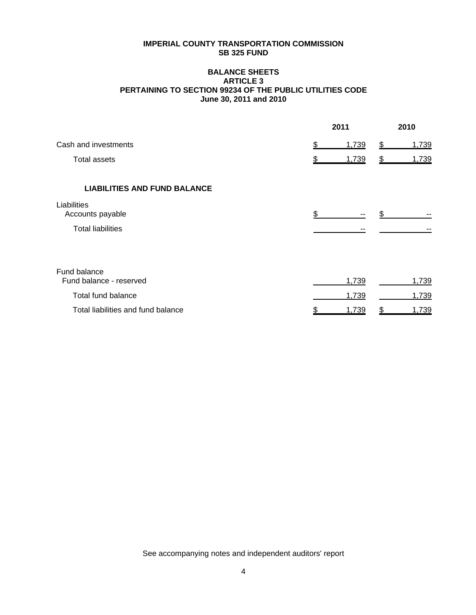### **BALANCE SHEETS ARTICLE 3 PERTAINING TO SECTION 99234 OF THE PUBLIC UTILITIES CODE June 30, 2011 and 2010**

|                                         | 2011        | 2010        |
|-----------------------------------------|-------------|-------------|
| Cash and investments                    | \$<br>1,739 | 1,739<br>\$ |
| <b>Total assets</b>                     | 1,739<br>\$ | 1,739<br>\$ |
| <b>LIABILITIES AND FUND BALANCE</b>     |             |             |
| Liabilities<br>Accounts payable         | \$          |             |
| <b>Total liabilities</b>                |             |             |
| Fund balance<br>Fund balance - reserved | 1,739       | 1,739       |
|                                         |             |             |
| <b>Total fund balance</b>               | 1,739       | 1,739       |
| Total liabilities and fund balance      | 1,739<br>\$ | \$<br>1,739 |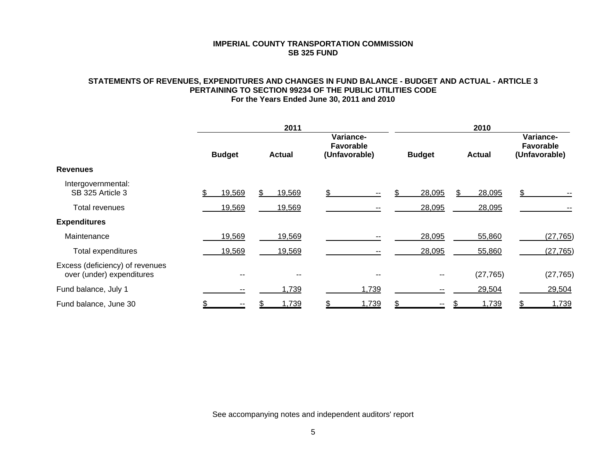# **STATEMENTS OF REVENUES, EXPENDITURES AND CHANGES IN FUND BALANCE - BUDGET AND ACTUAL - ARTICLE 3 PERTAINING TO SECTION 99234 OF THE PUBLIC UTILITIES CODE For the Years Ended June 30, 2011 and 2010**

|                                                              | 2011          |        |               |        |                                                |       |               | 2010   |               |           |                                                |           |  |
|--------------------------------------------------------------|---------------|--------|---------------|--------|------------------------------------------------|-------|---------------|--------|---------------|-----------|------------------------------------------------|-----------|--|
|                                                              | <b>Budget</b> |        | <b>Actual</b> |        | Variance-<br><b>Favorable</b><br>(Unfavorable) |       | <b>Budget</b> |        | <b>Actual</b> |           | Variance-<br><b>Favorable</b><br>(Unfavorable) |           |  |
| <b>Revenues</b>                                              |               |        |               |        |                                                |       |               |        |               |           |                                                |           |  |
| Intergovernmental:<br>SB 325 Article 3                       |               | 19,569 |               | 19,569 |                                                |       |               | 28,095 | S.            | 28,095    | \$                                             |           |  |
| Total revenues                                               |               | 19,569 |               | 19,569 |                                                |       |               | 28,095 |               | 28,095    |                                                |           |  |
| <b>Expenditures</b>                                          |               |        |               |        |                                                |       |               |        |               |           |                                                |           |  |
| Maintenance                                                  |               | 19,569 |               | 19,569 |                                                |       |               | 28,095 |               | 55,860    |                                                | (27, 765) |  |
| Total expenditures                                           |               | 19,569 |               | 19,569 |                                                |       |               | 28,095 |               | 55,860    |                                                | (27, 765) |  |
| Excess (deficiency) of revenues<br>over (under) expenditures |               | $- -$  |               | --     |                                                | $- -$ |               | --     |               | (27, 765) |                                                | (27, 765) |  |
| Fund balance, July 1                                         |               | --     |               | 1,739  |                                                | 1,739 |               |        |               | 29,504    |                                                | 29,504    |  |
| Fund balance, June 30                                        |               |        |               | 1,739  |                                                | 1,739 |               |        |               | 1,739     |                                                | 1,739     |  |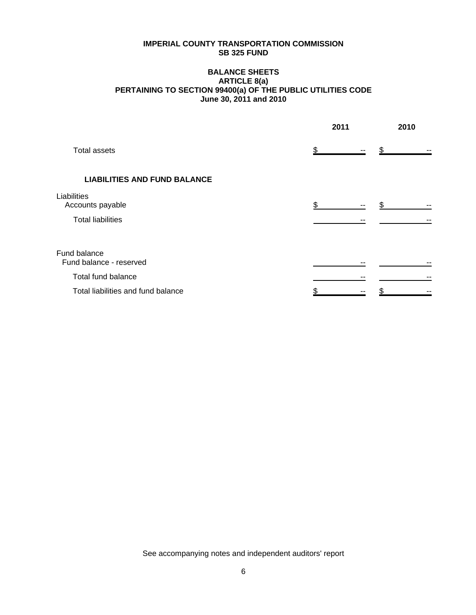# **BALANCE SHEETS ARTICLE 8(a) PERTAINING TO SECTION 99400(a) OF THE PUBLIC UTILITIES CODE June 30, 2011 and 2010**

|                                                             | 2011 | 2010 |  |  |
|-------------------------------------------------------------|------|------|--|--|
| <b>Total assets</b>                                         |      |      |  |  |
| <b>LIABILITIES AND FUND BALANCE</b>                         |      |      |  |  |
| Liabilities<br>Accounts payable<br><b>Total liabilities</b> | \$.  | --   |  |  |
| Fund balance<br>Fund balance - reserved                     |      |      |  |  |
| Total fund balance                                          |      |      |  |  |
| Total liabilities and fund balance                          |      |      |  |  |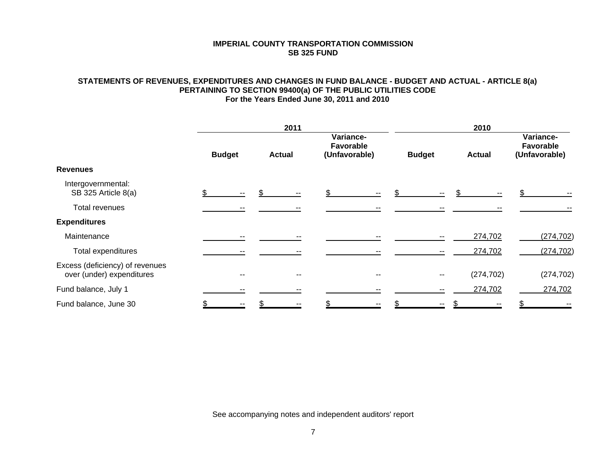# **STATEMENTS OF REVENUES, EXPENDITURES AND CHANGES IN FUND BALANCE - BUDGET AND ACTUAL - ARTICLE 8(a) PERTAINING TO SECTION 99400(a) OF THE PUBLIC UTILITIES CODE For the Years Ended June 30, 2011 and 2010**

|                                                              |               | 2011 |               |    |                                                |    |               |    | 2010          |            |                                         |            |  |  |  |
|--------------------------------------------------------------|---------------|------|---------------|----|------------------------------------------------|----|---------------|----|---------------|------------|-----------------------------------------|------------|--|--|--|
|                                                              | <b>Budget</b> |      | <b>Actual</b> |    | Variance-<br><b>Favorable</b><br>(Unfavorable) |    | <b>Budget</b> |    | <b>Actual</b> |            | Variance-<br>Favorable<br>(Unfavorable) |            |  |  |  |
| <b>Revenues</b>                                              |               |      |               |    |                                                |    |               |    |               |            |                                         |            |  |  |  |
| Intergovernmental:<br>SB 325 Article 8(a)                    |               |      |               |    |                                                |    |               |    |               |            |                                         |            |  |  |  |
| Total revenues                                               |               |      |               |    |                                                |    |               |    |               |            |                                         |            |  |  |  |
| <b>Expenditures</b>                                          |               |      |               |    |                                                |    |               |    |               |            |                                         |            |  |  |  |
| Maintenance                                                  |               |      |               |    |                                                |    |               |    |               | 274,702    |                                         | (274, 702) |  |  |  |
| Total expenditures                                           |               |      |               |    |                                                |    |               |    |               | 274,702    |                                         | (274, 702) |  |  |  |
| Excess (deficiency) of revenues<br>over (under) expenditures |               | $-$  |               | -- |                                                | -- |               | -- |               | (274, 702) |                                         | (274, 702) |  |  |  |
| Fund balance, July 1                                         |               |      |               |    |                                                |    |               |    |               | 274,702    |                                         | 274,702    |  |  |  |
| Fund balance, June 30                                        |               |      |               |    |                                                |    |               |    |               |            |                                         |            |  |  |  |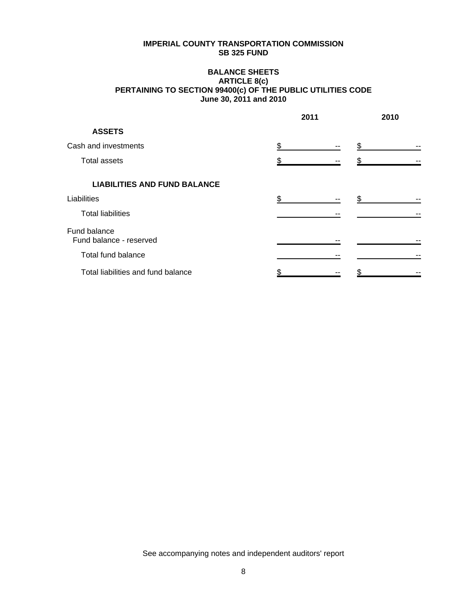# **BALANCE SHEETS ARTICLE 8(c) PERTAINING TO SECTION 99400(c) OF THE PUBLIC UTILITIES CODE June 30, 2011 and 2010**

|                                         | 2011 |  | 2010 |
|-----------------------------------------|------|--|------|
| <b>ASSETS</b>                           |      |  |      |
| Cash and investments                    | \$   |  |      |
| Total assets                            |      |  |      |
| <b>LIABILITIES AND FUND BALANCE</b>     |      |  |      |
| Liabilities                             | .ፍ   |  |      |
| <b>Total liabilities</b>                |      |  |      |
| Fund balance<br>Fund balance - reserved |      |  |      |
| Total fund balance                      |      |  |      |
| Total liabilities and fund balance      |      |  |      |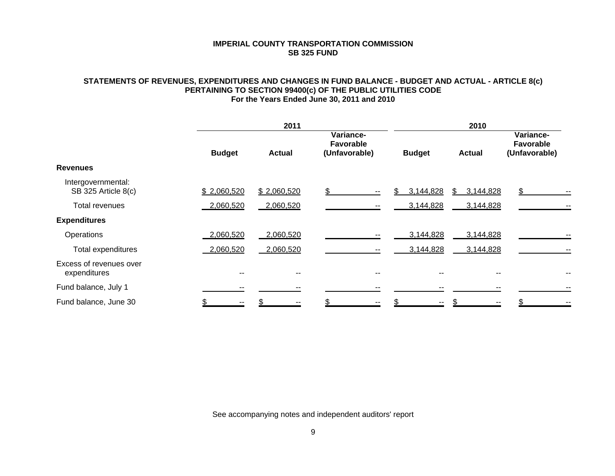# **STATEMENTS OF REVENUES, EXPENDITURES AND CHANGES IN FUND BALANCE - BUDGET AND ACTUAL - ARTICLE 8(c) PERTAINING TO SECTION 99400(c) OF THE PUBLIC UTILITIES CODE For the Years Ended June 30, 2011 and 2010**

|                                           |               | 2011          |                                                | 2010             |                 |                                                |    |  |  |
|-------------------------------------------|---------------|---------------|------------------------------------------------|------------------|-----------------|------------------------------------------------|----|--|--|
|                                           | <b>Budget</b> | <b>Actual</b> | Variance-<br><b>Favorable</b><br>(Unfavorable) | <b>Budget</b>    | <b>Actual</b>   | Variance-<br><b>Favorable</b><br>(Unfavorable) |    |  |  |
| <b>Revenues</b>                           |               |               |                                                |                  |                 |                                                |    |  |  |
| Intergovernmental:<br>SB 325 Article 8(c) | \$2,060,520   | \$2,060,520   | $- -$                                          | \$.<br>3,144,828 | 3,144,828<br>S. | \$.                                            |    |  |  |
| Total revenues                            | 2,060,520     | 2,060,520     |                                                | 3,144,828        | 3,144,828       |                                                | н. |  |  |
| <b>Expenditures</b>                       |               |               |                                                |                  |                 |                                                |    |  |  |
| Operations                                | 2,060,520     | 2,060,520     |                                                | 3,144,828        | 3,144,828       |                                                | н. |  |  |
| Total expenditures                        | 2,060,520     | 2,060,520     |                                                | 3,144,828        | 3,144,828       |                                                | н. |  |  |
| Excess of revenues over<br>expenditures   | --            | $- -$         |                                                | --               | --              |                                                | ۰. |  |  |
| Fund balance, July 1                      |               |               |                                                |                  |                 |                                                | ۰. |  |  |
| Fund balance, June 30                     |               |               |                                                |                  |                 |                                                |    |  |  |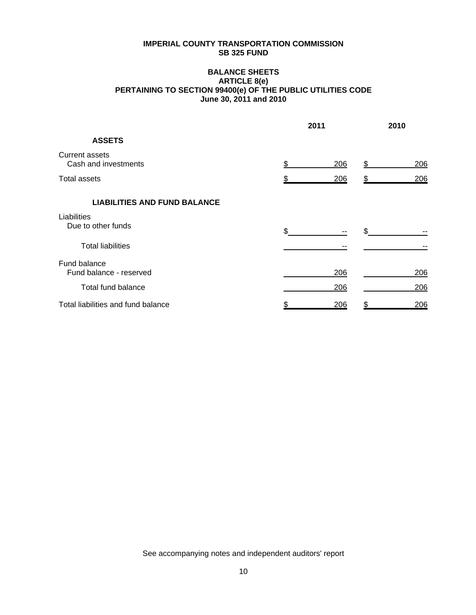# **BALANCE SHEETS ARTICLE 8(e) PERTAINING TO SECTION 99400(e) OF THE PUBLIC UTILITIES CODE June 30, 2011 and 2010**

|                                               | 2011 | 2010 |    |     |
|-----------------------------------------------|------|------|----|-----|
| <b>ASSETS</b>                                 |      |      |    |     |
| <b>Current assets</b><br>Cash and investments |      | 206  | S  | 206 |
| <b>Total assets</b>                           |      | 206  |    | 206 |
| <b>LIABILITIES AND FUND BALANCE</b>           |      |      |    |     |
| Liabilities<br>Due to other funds             | \$   |      |    |     |
| <b>Total liabilities</b>                      |      |      |    |     |
| Fund balance<br>Fund balance - reserved       |      | 206  |    | 206 |
| <b>Total fund balance</b>                     |      | 206  |    | 206 |
| Total liabilities and fund balance            | \$   | 206  | \$ | 206 |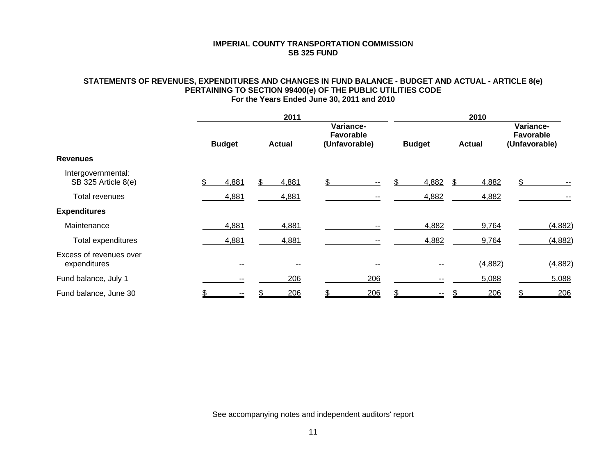# **STATEMENTS OF REVENUES, EXPENDITURES AND CHANGES IN FUND BALANCE - BUDGET AND ACTUAL - ARTICLE 8(e) PERTAINING TO SECTION 99400(e) OF THE PUBLIC UTILITIES CODE For the Years Ended June 30, 2011 and 2010**

|                                           |               | 2011  |               |       |                                                |       |               | 2010  |               |         |                                                |         |  |  |
|-------------------------------------------|---------------|-------|---------------|-------|------------------------------------------------|-------|---------------|-------|---------------|---------|------------------------------------------------|---------|--|--|
|                                           | <b>Budget</b> |       | <b>Actual</b> |       | Variance-<br><b>Favorable</b><br>(Unfavorable) |       | <b>Budget</b> |       | <b>Actual</b> |         | Variance-<br><b>Favorable</b><br>(Unfavorable) |         |  |  |
| <b>Revenues</b>                           |               |       |               |       |                                                |       |               |       |               |         |                                                |         |  |  |
| Intergovernmental:<br>SB 325 Article 8(e) |               | 4,881 |               | 4,881 |                                                |       |               | 4,882 |               | 4,882   |                                                |         |  |  |
| Total revenues                            |               | 4,881 |               | 4,881 |                                                |       |               | 4,882 |               | 4,882   |                                                |         |  |  |
| <b>Expenditures</b>                       |               |       |               |       |                                                |       |               |       |               |         |                                                |         |  |  |
| Maintenance                               |               | 4,881 |               | 4,881 |                                                |       |               | 4,882 |               | 9,764   |                                                | (4,882) |  |  |
| Total expenditures                        |               | 4,881 |               | 4,881 |                                                |       |               | 4,882 |               | 9,764   |                                                | (4,882) |  |  |
| Excess of revenues over<br>expenditures   |               | --    |               | --    |                                                | $- -$ |               |       |               | (4,882) |                                                | (4,882) |  |  |
| Fund balance, July 1                      |               | --    |               | 206   |                                                | 206   |               |       |               | 5,088   |                                                | 5,088   |  |  |
| Fund balance, June 30                     |               |       |               | 206   |                                                | 206   |               |       |               | 206     |                                                | 206     |  |  |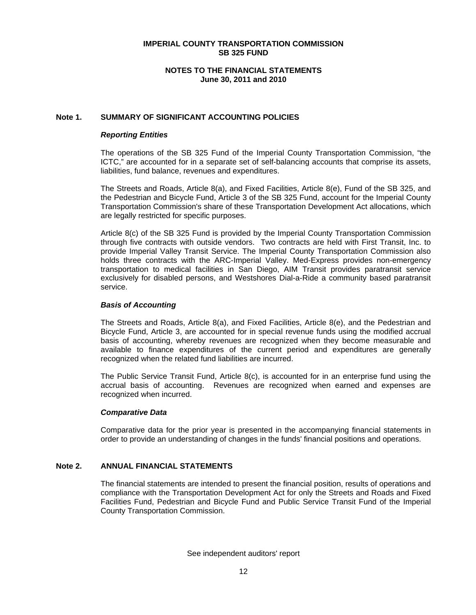# **NOTES TO THE FINANCIAL STATEMENTS June 30, 2011 and 2010**

# **Note 1. SUMMARY OF SIGNIFICANT ACCOUNTING POLICIES**

# *Reporting Entities*

The operations of the SB 325 Fund of the Imperial County Transportation Commission, "the ICTC," are accounted for in a separate set of self-balancing accounts that comprise its assets, liabilities, fund balance, revenues and expenditures.

The Streets and Roads, Article 8(a), and Fixed Facilities, Article 8(e), Fund of the SB 325, and the Pedestrian and Bicycle Fund, Article 3 of the SB 325 Fund, account for the Imperial County Transportation Commission's share of these Transportation Development Act allocations, which are legally restricted for specific purposes.

Article 8(c) of the SB 325 Fund is provided by the Imperial County Transportation Commission through five contracts with outside vendors. Two contracts are held with First Transit, Inc. to provide Imperial Valley Transit Service. The Imperial County Transportation Commission also holds three contracts with the ARC-Imperial Valley. Med-Express provides non-emergency transportation to medical facilities in San Diego, AIM Transit provides paratransit service exclusively for disabled persons, and Westshores Dial-a-Ride a community based paratransit service.

#### *Basis of Accounting*

The Streets and Roads, Article 8(a), and Fixed Facilities, Article 8(e), and the Pedestrian and Bicycle Fund, Article 3, are accounted for in special revenue funds using the modified accrual basis of accounting, whereby revenues are recognized when they become measurable and available to finance expenditures of the current period and expenditures are generally recognized when the related fund liabilities are incurred.

The Public Service Transit Fund, Article 8(c), is accounted for in an enterprise fund using the accrual basis of accounting. Revenues are recognized when earned and expenses are recognized when incurred.

# *Comparative Data*

Comparative data for the prior year is presented in the accompanying financial statements in order to provide an understanding of changes in the funds' financial positions and operations.

# **Note 2. ANNUAL FINANCIAL STATEMENTS**

The financial statements are intended to present the financial position, results of operations and compliance with the Transportation Development Act for only the Streets and Roads and Fixed Facilities Fund, Pedestrian and Bicycle Fund and Public Service Transit Fund of the Imperial County Transportation Commission.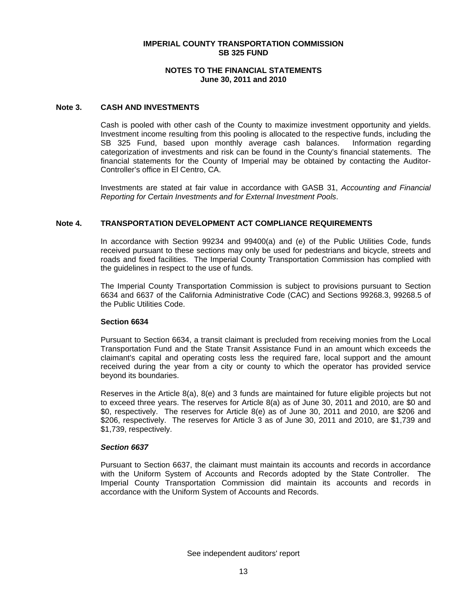# **NOTES TO THE FINANCIAL STATEMENTS June 30, 2011 and 2010**

# **Note 3. CASH AND INVESTMENTS**

Cash is pooled with other cash of the County to maximize investment opportunity and yields. Investment income resulting from this pooling is allocated to the respective funds, including the SB 325 Fund, based upon monthly average cash balances. Information regarding categorization of investments and risk can be found in the County's financial statements. The financial statements for the County of Imperial may be obtained by contacting the Auditor-Controller's office in El Centro, CA.

Investments are stated at fair value in accordance with GASB 31, *Accounting and Financial Reporting for Certain Investments and for External Investment Pools*.

#### **Note 4. TRANSPORTATION DEVELOPMENT ACT COMPLIANCE REQUIREMENTS**

In accordance with Section 99234 and 99400(a) and (e) of the Public Utilities Code, funds received pursuant to these sections may only be used for pedestrians and bicycle, streets and roads and fixed facilities. The Imperial County Transportation Commission has complied with the guidelines in respect to the use of funds.

The Imperial County Transportation Commission is subject to provisions pursuant to Section 6634 and 6637 of the California Administrative Code (CAC) and Sections 99268.3, 99268.5 of the Public Utilities Code.

#### **Section 6634**

Pursuant to Section 6634, a transit claimant is precluded from receiving monies from the Local Transportation Fund and the State Transit Assistance Fund in an amount which exceeds the claimant's capital and operating costs less the required fare, local support and the amount received during the year from a city or county to which the operator has provided service beyond its boundaries.

Reserves in the Article 8(a), 8(e) and 3 funds are maintained for future eligible projects but not to exceed three years. The reserves for Article 8(a) as of June 30, 2011 and 2010, are \$0 and \$0, respectively. The reserves for Article 8(e) as of June 30, 2011 and 2010, are \$206 and \$206, respectively. The reserves for Article 3 as of June 30, 2011 and 2010, are \$1,739 and \$1,739, respectively.

#### *Section 6637*

Pursuant to Section 6637, the claimant must maintain its accounts and records in accordance with the Uniform System of Accounts and Records adopted by the State Controller. The Imperial County Transportation Commission did maintain its accounts and records in accordance with the Uniform System of Accounts and Records.